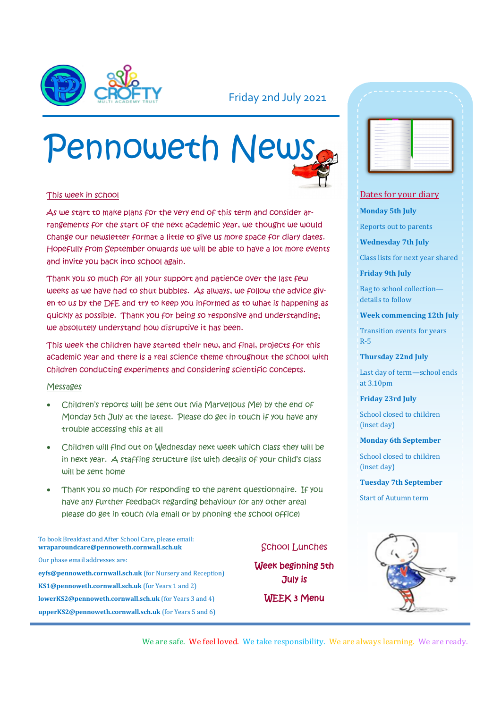

### Friday 2nd July 2021

# Pennoweth News

#### This week in school

As we start to make plans for the very end of this term and consider arrangements for the start of the next academic year, we thought we would change our newsletter format a little to give us more space for diary dates. Hopefully from September onwards we will be able to have a lot more events and invite you back into school again.

Thank you so much for all your support and patience over the last few weeks as we have had to shut bubbles. As always, we follow the advice given to us by the DfE and try to keep you informed as to what is happening as quickly as possible. Thank you for being so responsive and understanding; we absolutely understand how disruptive it has been.

This week the children have started their new, and final, projects for this academic year and there is a real science theme throughout the school with children conducting experiments and considering scientific concepts.

#### Messages

- Children's reports will be sent out (via Marvellous Me) by the end of Monday 5th July at the latest. Please do get in touch if you have any trouble accessing this at all
- Children will find out on Wednesday next week which class they will be in next year. A staffing structure list with details of your child's class will be sent home
- Thank you so much for responding to the parent questionnaire. If you have any further feedback regarding behaviour (or any other area) please do get in touch (via email or by phoning the school office)

To book Breakfast and After School Care, please email: **wraparoundcare@pennoweth.cornwall.sch.uk** Our phase email addresses are: **eyfs@pennoweth.cornwall.sch.uk** (for Nursery and Reception) **KS1@pennoweth.cornwall.sch.uk** (for Years 1 and 2) **lowerKS2@pennoweth.cornwall.sch.uk** (for Years 3 and 4) **upperKS2@pennoweth.cornwall.sch.uk** (for Years 5 and 6)

School Lunches

Week beginning 5th July is WEEK 3 Menu



#### Dates for your diary

#### **Monday 5th July**

Reports out to parents

**Wednesday 7th July**

Class lists for next year shared

**Friday 9th July**

Bag to school collection details to follow

#### **Week commencing 12th July**

Transition events for years R-5

**Thursday 22nd July**

Last day of term—school ends at 3.10pm

**Friday 23rd July**

School closed to children (inset day)

#### **Monday 6th September**

School closed to children (inset day)

#### **Tuesday 7th September**

Start of Autumn term



We are safe. We feel loved. We take responsibility. We are always learning. We are ready.